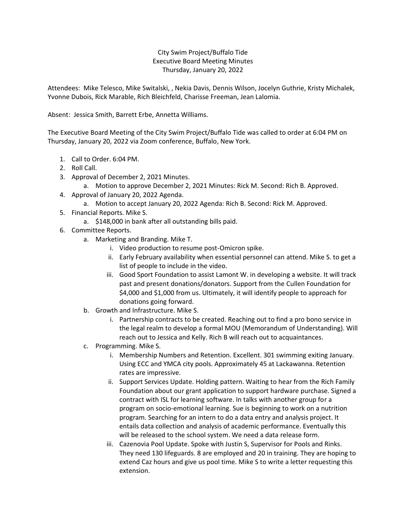## City Swim Project/Buffalo Tide Executive Board Meeting Minutes Thursday, January 20, 2022

Attendees: Mike Telesco, Mike Switalski, , Nekia Davis, Dennis Wilson, Jocelyn Guthrie, Kristy Michalek, Yvonne Dubois, Rick Marable, Rich Bleichfeld, Charisse Freeman, Jean Lalomia.

Absent: Jessica Smith, Barrett Erbe, Annetta Williams.

The Executive Board Meeting of the City Swim Project/Buffalo Tide was called to order at 6:04 PM on Thursday, January 20, 2022 via Zoom conference, Buffalo, New York.

- 1. Call to Order. 6:04 PM.
- 2. Roll Call.
- 3. Approval of December 2, 2021 Minutes.
	- a. Motion to approve December 2, 2021 Minutes: Rick M. Second: Rich B. Approved.
- 4. Approval of January 20, 2022 Agenda.
	- a. Motion to accept January 20, 2022 Agenda: Rich B. Second: Rick M. Approved.
- 5. Financial Reports. Mike S.
	- a. \$148,000 in bank after all outstanding bills paid.
- 6. Committee Reports.
	- a. Marketing and Branding. Mike T.
		- i. Video production to resume post-Omicron spike.
		- ii. Early February availability when essential personnel can attend. Mike S. to get a list of people to include in the video.
		- iii. Good Sport Foundation to assist Lamont W. in developing a website. It will track past and present donations/donators. Support from the Cullen Foundation for \$4,000 and \$1,000 from us. Ultimately, it will identify people to approach for donations going forward.
	- b. Growth and Infrastructure. Mike S.
		- i. Partnership contracts to be created. Reaching out to find a pro bono service in the legal realm to develop a formal MOU (Memorandum of Understanding). Will reach out to Jessica and Kelly. Rich B will reach out to acquaintances.
	- c. Programming. Mike S.
		- i. Membership Numbers and Retention. Excellent. 301 swimming exiting January. Using ECC and YMCA city pools. Approximately 45 at Lackawanna. Retention rates are impressive.
		- ii. Support Services Update. Holding pattern. Waiting to hear from the Rich Family Foundation about our grant application to support hardware purchase. Signed a contract with ISL for learning software. In talks with another group for a program on socio-emotional learning. Sue is beginning to work on a nutrition program. Searching for an intern to do a data entry and analysis project. It entails data collection and analysis of academic performance. Eventually this will be released to the school system. We need a data release form.
		- iii. Cazenovia Pool Update. Spoke with Justin S, Supervisor for Pools and Rinks. They need 130 lifeguards. 8 are employed and 20 in training. They are hoping to extend Caz hours and give us pool time. Mike S to write a letter requesting this extension.